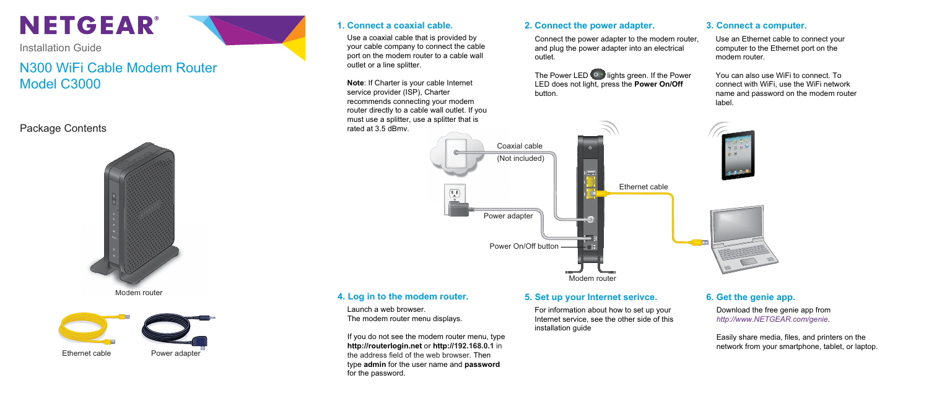# N300 WiFi Cable Modem Router Model C3000

# **NETGEAR®**

Installation Guide

### Package Contents

Use a coaxial cable that is provided by your cable company to connect the cable port on the modem router to a cable wall outlet or a line splitter.

**Note**: If Charter is your cable Internet service provider (ISP), Charter recommends connecting your modem router directly to a cable wall outlet. If you must use a splitter, use a splitter that is rated at 3.5 dBmv.

The Power LED  $\circledcirc$  lights green. If the Power LED does not light, press the **Power On/Off** button.

- Use an Ethernet cable to connect your computer to the Ethernet port on the modem router.
- You can also use WiFi to connect. To connect with WiFi, use the WiFi network name and password on the modem router label.





Connect the power adapter to the modem router, and plug the power adapter into an electrical outlet.

Launch a web browser. The modem router menu displays.

If you do not see the modem router menu, type **http://routerlogin.net** or **http://192.168.0.1** in the address field of the web browser. Then type **admin** for the user name and **password** for the password.

For information about how to set up your Internet service, see the other side of this installation guide

Ethernet cable Power adapter

#### **4. Log in to the modem router. 5. Set up your Internet serivce.**

### **1. Connect a coaxial cable. 3. Connect a computer. 2. Connect the power adapter.**

### **6. Get the genie app.**



Modem router Modem



Download the free genie app from *http://www.NETGEAR.com/genie*.

Easily share media, files, and printers on the network from your smartphone, tablet, or laptop.